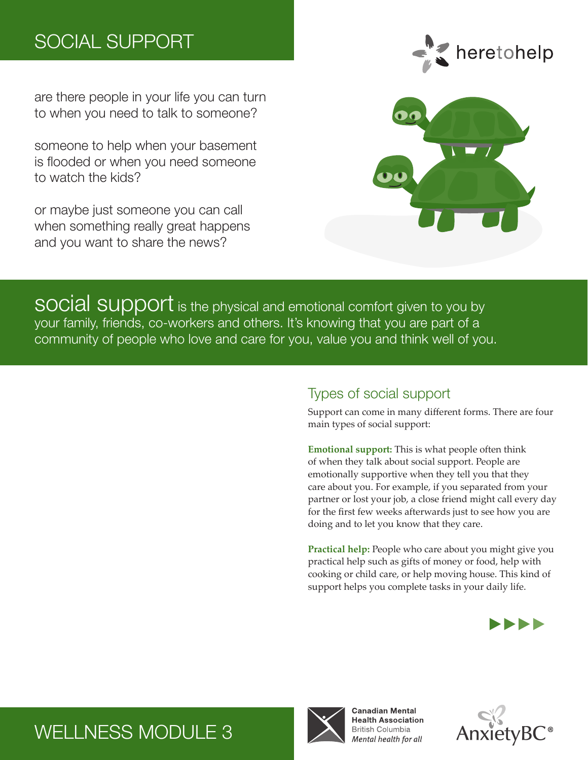# SOCIAL SUPPORT

are there people in your life you can turn to when you need to talk to someone?

someone to help when your basement is flooded or when you need someone to watch the kids?

or maybe just someone you can call when something really great happens and you want to share the news?





social support is the physical and emotional comfort given to you by your family, friends, co-workers and others. It's knowing that you are part of a community of people who love and care for you, value you and think well of you.

#### Types of social support

Support can come in many different forms. There are four main types of social support:

**Emotional support:** This is what people often think of when they talk about social support. People are emotionally supportive when they tell you that they care about you. For example, if you separated from your partner or lost your job, a close friend might call every day for the first few weeks afterwards just to see how you are doing and to let you know that they care.

**Practical help:** People who care about you might give you practical help such as gifts of money or food, help with cooking or child care, or help moving house. This kind of support helps you complete tasks in your daily life.





**Canadian Mental** 



# WELLNESS MODULE 3

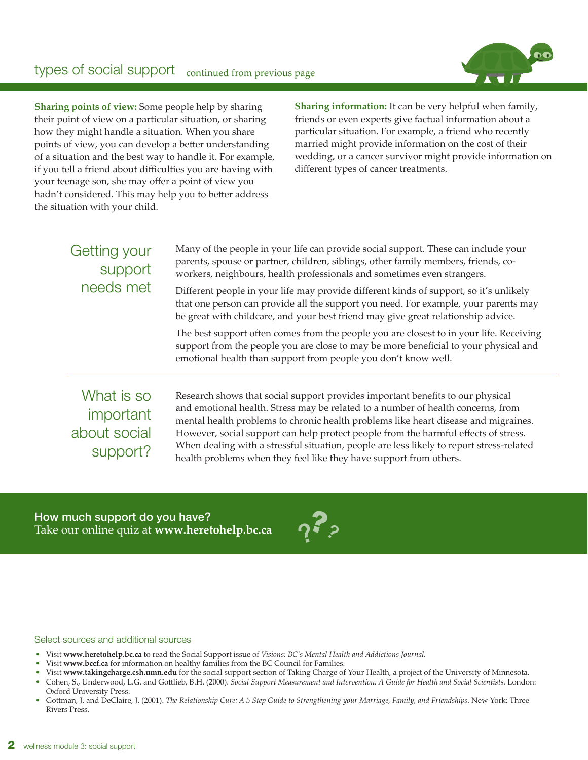#### types of social support continued from previous page



**Sharing points of view:** Some people help by sharing their point of view on a particular situation, or sharing how they might handle a situation. When you share points of view, you can develop a better understanding of a situation and the best way to handle it. For example, if you tell a friend about difficulties you are having with your teenage son, she may offer a point of view you hadn't considered. This may help you to better address the situation with your child.

**Sharing information:** It can be very helpful when family, friends or even experts give factual information about a particular situation. For example, a friend who recently married might provide information on the cost of their wedding, or a cancer survivor might provide information on different types of cancer treatments.

|  | Getting your<br>support<br>needs met | Many of the people in your life can provide social support. These can include your<br>parents, spouse or partner, children, siblings, other family members, friends, co-<br>workers, neighbours, health professionals and sometimes even strangers.<br>Different people in your life may provide different kinds of support, so it's unlikely<br>that one person can provide all the support you need. For example, your parents may<br>be great with childcare, and your best friend may give great relationship advice.<br>The best support often comes from the people you are closest to in your life. Receiving<br>support from the people you are close to may be more beneficial to your physical and<br>emotional health than support from people you don't know well. |
|--|--------------------------------------|--------------------------------------------------------------------------------------------------------------------------------------------------------------------------------------------------------------------------------------------------------------------------------------------------------------------------------------------------------------------------------------------------------------------------------------------------------------------------------------------------------------------------------------------------------------------------------------------------------------------------------------------------------------------------------------------------------------------------------------------------------------------------------|
|  | What is so<br>important              | Research shows that social support provides important benefits to our physical<br>and emotional health. Stress may be related to a number of health concerns, from<br>negated health published to change is about the mushleme like heavy discoses and migueiness                                                                                                                                                                                                                                                                                                                                                                                                                                                                                                              |

important about social support?

mental health problems to chronic health problems like heart disease and migraines. However, social support can help protect people from the harmful effects of stress. When dealing with a stressful situation, people are less likely to report stress-related health problems when they feel like they have support from others.

How much support do you have? Take our online quiz at **www.heretohelp.bc.ca** ?  $\dot{\mathbf{J}}$ خ ح

#### Select sources and additional sources

- Visit **www.heretohelp.bc.ca** to read the Social Support issue of *Visions: BC's Mental Health and Addictions Journal.*
- Visit **www.bccf.ca** for information on healthy families from the BC Council for Families.
- Visit **www.takingcharge.csh.umn.edu** for the social support section of Taking Charge of Your Health, a project of the University of Minnesota.
- Cohen, S., Underwood, L.G. and Gottlieb, B.H. (2000). *Social Support Measurement and Intervention: A Guide for Health and Social Scientists.* London: Oxford University Press.
- Gottman, J. and DeClaire, J. (2001). *The Relationship Cure: A 5 Step Guide to Strengthening your Marriage, Family, and Friendships.* New York: Three Rivers Press.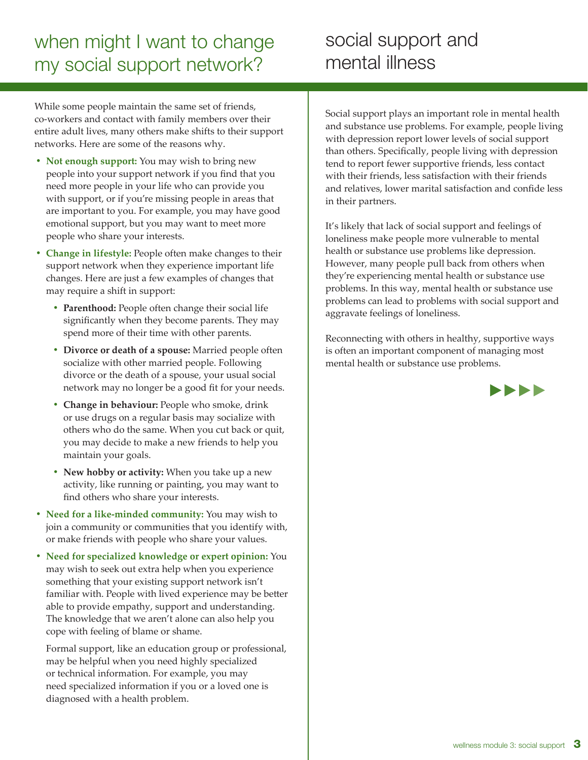# when might I want to change my social support network?

# social support and mental illness

While some people maintain the same set of friends, co-workers and contact with family members over their entire adult lives, many others make shifts to their support networks. Here are some of the reasons why.

- **Not enough support:** You may wish to bring new people into your support network if you find that you need more people in your life who can provide you with support, or if you're missing people in areas that are important to you. For example, you may have good emotional support, but you may want to meet more people who share your interests.
- **• Change in lifestyle:** People often make changes to their support network when they experience important life changes. Here are just a few examples of changes that may require a shift in support:
	- **• Parenthood:** People often change their social life significantly when they become parents. They may spend more of their time with other parents.
	- **• Divorce or death of a spouse:** Married people often socialize with other married people. Following divorce or the death of a spouse, your usual social network may no longer be a good fit for your needs.
	- **• Change in behaviour:** People who smoke, drink or use drugs on a regular basis may socialize with others who do the same. When you cut back or quit, you may decide to make a new friends to help you maintain your goals.
	- **• New hobby or activity:** When you take up a new activity, like running or painting, you may want to find others who share your interests.
- **• Need for a like-minded community:** You may wish to join a community or communities that you identify with, or make friends with people who share your values.
- **• Need for specialized knowledge or expert opinion:** You may wish to seek out extra help when you experience something that your existing support network isn't familiar with. People with lived experience may be better able to provide empathy, support and understanding. The knowledge that we aren't alone can also help you cope with feeling of blame or shame.

Formal support, like an education group or professional, may be helpful when you need highly specialized or technical information. For example, you may need specialized information if you or a loved one is diagnosed with a health problem.

Social support plays an important role in mental health and substance use problems. For example, people living with depression report lower levels of social support than others. Specifically, people living with depression tend to report fewer supportive friends, less contact with their friends, less satisfaction with their friends and relatives, lower marital satisfaction and confide less in their partners.

It's likely that lack of social support and feelings of loneliness make people more vulnerable to mental health or substance use problems like depression. However, many people pull back from others when they're experiencing mental health or substance use problems. In this way, mental health or substance use problems can lead to problems with social support and aggravate feelings of loneliness.

Reconnecting with others in healthy, supportive ways is often an important component of managing most mental health or substance use problems.